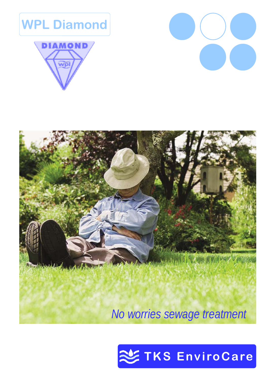







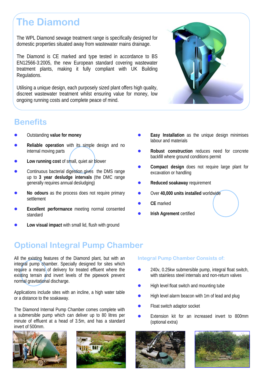# **The Diamond**

The WPL Diamond sewage treatment range is specifically designed for domestic properties situated away from wastewater mains drainage.

The Diamond is CE marked and type tested in accordance to BS EN12566-3:2005, the new European standard covering wastewater treatment plants, making it fully compliant with UK Building Regulations.

Utilising a unique design, each purposely sized plant offers high quality, discreet wastewater treatment whilst ensuring value for money, low ongoing running costs and complete peace of mind.



### **Benefits**

- **Outstanding value for money**
- Reliable operation with its simple design and no internal moving parts
- Low running cost of small, quiet air blower
- Continuous bacterial digestion gives the DMS range up to **3 year desludge intervals** (the DMC range generally requires annual desludging)
- No odours as the process does not require primary settlement
- **Excellent performance** meeting normal consented standard
- Low visual impact with small lid, flush with ground
- **Easy Installation** as the unique design minimises labour and materials
- **Robust construction** reduces need for concrete backfill where ground conditions permit
- Compact design does not require large plant for excavation or handling
- **Reduced soakaway requirement**
- z Over **40,000 units installed** worldwide
- CE marked
- **Irish Agrement certified**

## **Optional Integral Pump Chamber**

All the existing features of the Diamond plant, but with an integral pump chamber. Specially designed for sites which require a means of delivery for treated effluent where the existing terrain and invert levels of the pipework prevent normal gravitational discharge.

Applications include sites with an incline, a high water table or a distance to the soakaway.

The Diamond Internal Pump Chamber comes complete with a submersible pump which can deliver up to 80 litres per minute of effluent at a head of 3.5m, and has a standard invert of 500mm.





#### **Integral Pump Chamber Consists of:**

- z 240v, 0.25kw submersible pump, integral float switch, with stainless steel internals and non-return valves
- High level float switch and mounting tube
- High level alarm beacon with 1m of lead and plug
- Float switch adaptor socket
- Extension kit for an increased invert to 800mm (optional extra)



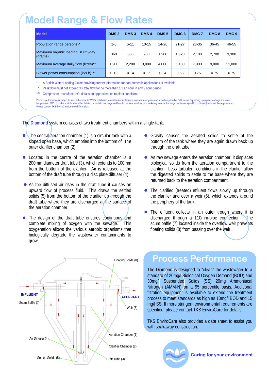## **Model Range & Flow Rates**

| <b>Model</b>                                | DMS <sub>2</sub> | DMS <sub>3</sub> | DMS <sub>4</sub> | DMS <sub>5</sub> | DMC <sub>6</sub> | DMC <sub>7</sub> | DMC <sub>8</sub> | DMC <sub>9</sub> |
|---------------------------------------------|------------------|------------------|------------------|------------------|------------------|------------------|------------------|------------------|
| Population range persons)*                  | 1-6              | $5 - 11$         | $10 - 15$        | $14 - 20$        | $21 - 27$        | 28-35            | 36-45            | 46-55            |
| Maximum organic loading BOD5/day<br>(grams) | 360              | 660              | 900              | 1.200            | 1,620            | 2,100            | 2,700            | 3,300            |
| Maximum average daily flow (litres)**       | 1.200            | 2.200            | 3.000            | 4.000            | 5.400            | 7,000            | 9.000            | 11,000           |
| Blower power consumption (kW h)***          | 0.12             | 0.14             | 0.17             | 0.24             | 0.55             | 0.75             | 0.75             | 0.75             |

A British Water Loading Guide providing further information for non-domestic applications is available

Peak flow must not exceed 3 x total flow for no more than 1/2 an hour in any 2 hour period

\*\* Compressor manufacturer's data is an approximation to plant conditions

Process performance is subject to strict adherence to WPL's installation, operation & maintenance manuals, user quide and a start up period of 6-12 weeks depending upon plant loadings and water temperature. WPL provides a full brochure that details consents to discharge and how to calculate whether your soakaway area or discharge point (drainage ditch or stream) will meet the requirements. Please contact TKS EnviroCare for more information.

The **Diamond** system consists of two treatment chambers within a single tank.

- The central aeration chamber (1) is a circular tank with a sloped open base, which empties into the bottom of the outer clarifier chamber (2).
- $\bullet$  Located in the centre of the aeration chamber is a 200mm diameter draft tube (3), which extends to 100mm from the bottom of the clarifier. Air is released at the bottom of the draft tube through a disc plate diffuser (4).
- $\bullet$  As the diffused air rises in the draft tube it causes an upward flow of process fluid. This draws the settled solids (5) from the bottom of the clarifier up through the draft tube where they are discharged at the surface of the aeration chamber.
- The design of the draft tube ensures continuous and complete mixing of oxygen with the sewage. This oxygenation allows the various aerobic organisms that biologically degrade the wastewater contaminants to grow.



- Gravity causes the aerated solids to settle at the bottom of the tank where they are again drawn back up through the draft tube.
- $\bullet$  As raw sewage enters the aeration chamber, it displaces biological solids from the aeration compartment to the clarifier. Less turbulent conditions in the clarifier allow the digested solids to settle to the base where they are returned back to the aeration compartment.
- The clarified (treated) effluent flows slowly up through the clarifier and over a weir (6), which extends around the periphery of the tank.
- The effluent collects in an outer trough where it is discharged through a 110mm-pipe connection. The scum baffle (7) located inside the overflow weir prevents floating solids (8) from passing over the weir.

### **Process Performance**

The Diamond is designed to "clean" the wastewater to a standard of 20mg/l Biological Oxygen Demand (BOD) and 30mg/l Suspended Solids (SS) 20mg Ammoniacal Nitrogen (AMM-N) on a 95 percentile basis. Additional filtration equipment is available to extend the treatment process to meet standards as high as 10mg/l BOD and 15 mg/l SS. If more stringent environmental requirements are specified, please contact TKS EnviroCare for details.

TKS EnviroCare also provides a data sheet to assist you with soakaway construction.